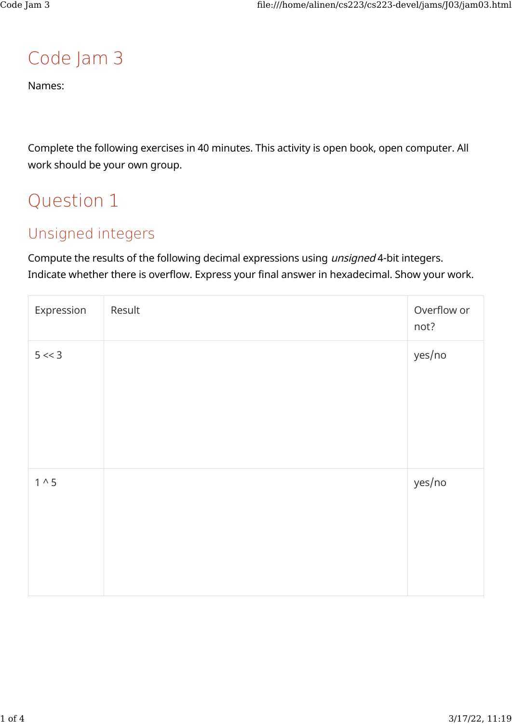### Code Jam 3

Names:

Complete the following exercises in 40 minutes. This activity is open book, open computer. All work should be your own group.

## Question 1

### Unsigned integers

Compute the results of the following decimal expressions using unsigned 4-bit integers. Indicate whether there is overflow. Express your final answer in hexadecimal. Show your work.

| Expression    | Result | Overflow or<br>not? |
|---------------|--------|---------------------|
| 5 < 3         |        | yes/no              |
| $1^{\wedge}5$ |        | yes/no              |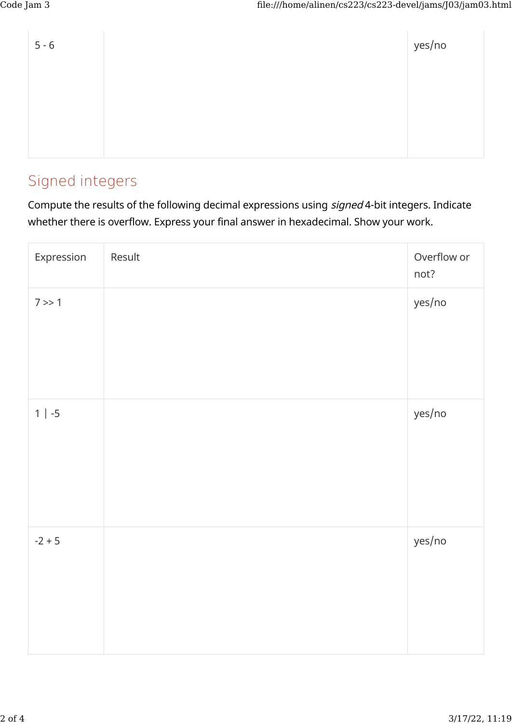| $5 - 6$ | yes/no |
|---------|--------|
|         |        |
|         |        |
|         |        |

#### Signed integers

Compute the results of the following decimal expressions using signed 4-bit integers. Indicate whether there is overflow. Express your final answer in hexadecimal. Show your work.

| Expression | Result | Overflow or<br>not? |
|------------|--------|---------------------|
| 7 > > 1    |        | yes/no              |
| $1   -5$   |        | yes/no              |
| $-2 + 5$   |        | yes/no              |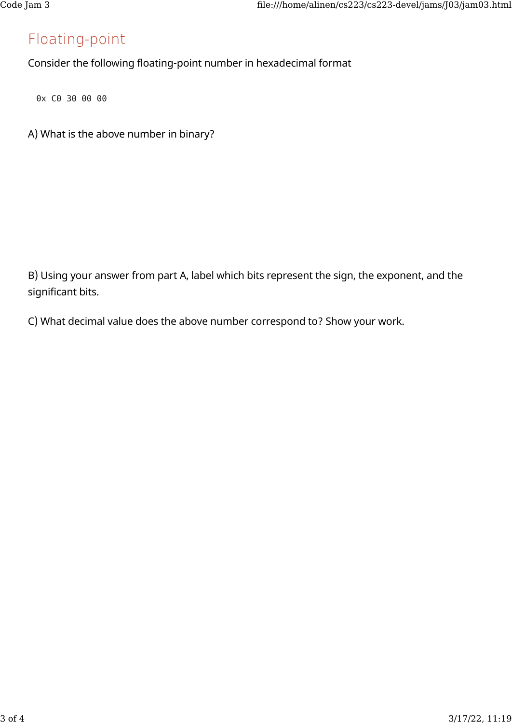#### Floating-point

Consider the following floating-point number in hexadecimal format

0x C0 30 00 00

A) What is the above number in binary?

B) Using your answer from part A, label which bits represent the sign, the exponent, and the significant bits.

C) What decimal value does the above number correspond to? Show your work.